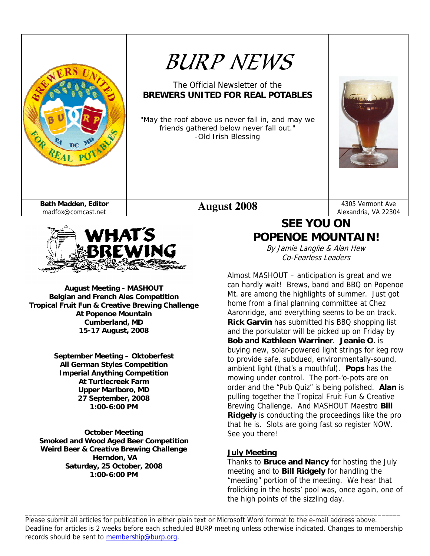



**August Meeting - MASHOUT Belgian and French Ales Competition Tropical Fruit Fun & Creative Brewing Challenge At Popenoe Mountain Cumberland, MD 15-17 August, 2008** 

> **September Meeting – Oktoberfest All German Styles Competition Imperial Anything Competition At Turtlecreek Farm Upper Marlboro, MD 27 September, 2008 1:00-6:00 PM**

**October Meeting Smoked and Wood Aged Beer Competition Weird Beer & Creative Brewing Challenge Herndon, VA Saturday, 25 October, 2008 1:00-6:00 PM** 

# **SEE YOU ON POPENOE MOUNTAIN!**

By Jamie Langlie & Alan Hew Co-Fearless Leaders

Almost MASHOUT – anticipation is great and we can hardly wait! Brews, band and BBQ on Popenoe Mt. are among the highlights of summer. Just got home from a final planning committee at Chez Aaronridge, and everything seems to be on track. **Rick Garvin** has submitted his BBQ shopping list and the porkulator will be picked up on Friday by **Bob and Kathleen Warriner**. **Jeanie O.** is buying new, solar-powered light strings for keg row to provide safe, subdued, environmentally-sound, ambient light (that's a mouthful). **Pops** has the mowing under control. The port-'o-pots are on order and the "Pub Quiz" is being polished. **Alan** is pulling together the Tropical Fruit Fun & Creative Brewing Challenge. And MASHOUT Maestro **Bill Ridgely** is conducting the proceedings like the pro that he is. Slots are going fast so register NOW. See you there!

### **July Meeting**

Thanks to **Bruce and Nancy** for hosting the July meeting and to **Bill Ridgely** for handling the "meeting" portion of the meeting. We hear that frolicking in the hosts' pool was, once again, one of the high points of the sizzling day.

Please submit all articles for publication in either plain text or Microsoft Word format to the e-mail address above. Deadline for articles is 2 weeks before each scheduled BURP meeting unless otherwise indicated. Changes to membership records should be sent to membership@burp.org.

\_\_\_\_\_\_\_\_\_\_\_\_\_\_\_\_\_\_\_\_\_\_\_\_\_\_\_\_\_\_\_\_\_\_\_\_\_\_\_\_\_\_\_\_\_\_\_\_\_\_\_\_\_\_\_\_\_\_\_\_\_\_\_\_\_\_\_\_\_\_\_\_\_\_\_\_\_\_\_\_\_\_\_\_\_\_\_\_\_\_\_\_\_\_\_\_\_\_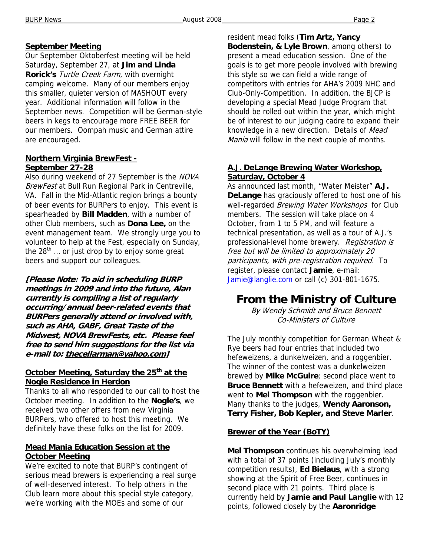### **September Meeting**

Our September Oktoberfest meeting will be held Saturday, September 27, at **Jim and Linda Rorick's** Turtle Creek Farm, with overnight camping welcome. Many of our members enjoy this smaller, quieter version of MASHOUT every year. Additional information will follow in the September news. Competition will be German-style beers in kegs to encourage more FREE BEER for our members. Oompah music and German attire are encouraged.

#### **Northern Virginia BrewFest - September 27-28**

Also during weekend of 27 September is the NOVA BrewFest at Bull Run Regional Park in Centreville, VA. Fall in the Mid-Atlantic region brings a bounty of beer events for BURPers to enjoy. This event is spearheaded by **Bill Madden**, with a number of other Club members, such as **Dona Lee,** on the event management team. We strongly urge you to volunteer to help at the Fest, especially on Sunday, the  $28<sup>th</sup>$  ... or just drop by to enjoy some great beers and support our colleagues.

**[Please Note: To aid in scheduling BURP meetings in 2009 and into the future, Alan currently is compiling a list of regularly occurring/annual beer-related events that BURPers generally attend or involved with, such as AHA, GABF, Great Taste of the Midwest, NOVA BrewFests, etc. Please feel free to send him suggestions for the list via e-mail to: thecellarman@yahoo.com]** 

### **October Meeting, Saturday the 25<sup>th</sup> at the Nogle Residence in Herdon**

Thanks to all who responded to our call to host the October meeting. In addition to the **Nogle's**, we received two other offers from new Virginia BURPers, who offered to host this meeting. We definitely have these folks on the list for 2009.

#### **Mead Mania Education Session at the October Meeting**

We're excited to note that BURP's contingent of serious mead brewers is experiencing a real surge of well-deserved interest. To help others in the Club learn more about this special style category, we're working with the MOEs and some of our

resident mead folks (**Tim Artz, Yancy Bodenstein, & Lyle Brown**, among others) to present a mead education session. One of the goals is to get more people involved with brewing this style so we can field a wide range of competitors with entries for AHA's 2009 NHC and Club-Only-Competition. In addition, the BJCP is developing a special Mead Judge Program that should be rolled out within the year, which might be of interest to our judging cadre to expand their knowledge in a new direction. Details of Mead Mania will follow in the next couple of months.

### **A.J. DeLange Brewing Water Workshop, Saturday, October 4**

As announced last month, "Water Meister" **A.J. DeLange** has graciously offered to host one of his well-regarded Brewing Water Workshops for Club members. The session will take place on 4 October, from 1 to 5 PM, and will feature a technical presentation, as well as a tour of A.J.'s professional-level home brewery. Registration is free but will be limited to approximately 20 participants, with pre-registration required. To register, please contact **Jamie**, e-mail: Jamie@langlie.com or call (c) 301-801-1675.

# **From the Ministry of Culture**

By Wendy Schmidt and Bruce Bennett Co-Ministers of Culture

The July monthly competition for German Wheat & Rye beers had four entries that included two hefeweizens, a dunkelweizen, and a roggenbier. The winner of the contest was a dunkelweizen brewed by **Mike McGuire**; second place went to **Bruce Bennett** with a hefeweizen, and third place went to **Mel Thompson** with the roggenbier. Many thanks to the judges, **Wendy Aaronson, Terry Fisher, Bob Kepler, and Steve Marler**.

### **Brewer of the Year (BoTY)**

**Mel Thompson** continues his overwhelming lead with a total of 37 points (including July's monthly competition results), **Ed Bielaus**, with a strong showing at the Spirit of Free Beer, continues in second place with 21 points. Third place is currently held by **Jamie and Paul Langlie** with 12 points, followed closely by the **Aaronridge**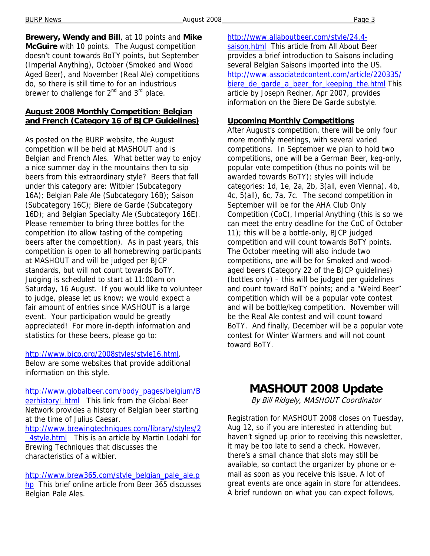BURP News **August 2008 Page 3** 

**Brewery, Wendy and Bill**, at 10 points and **Mike McGuire** with 10 points. The August competition doesn't count towards BoTY points, but September (Imperial Anything), October (Smoked and Wood Aged Beer), and November (Real Ale) competitions do, so there is still time to for an industrious brewer to challenge for  $2^{nd}$  and  $3^{rd}$  place.

### **August 2008 Monthly Competition: Belgian and French (Category 16 of BJCP Guidelines)**

As posted on the BURP website, the August competition will be held at MASHOUT and is Belgian and French Ales. What better way to enjoy a nice summer day in the mountains then to sip beers from this extraordinary style? Beers that fall under this category are: Witbier (Subcategory 16A); Belgian Pale Ale (Subcategory 16B); Saison (Subcategory 16C); Biere de Garde (Subcategory 16D); and Belgian Specialty Ale (Subcategory 16E). Please remember to bring three bottles for the competition (to allow tasting of the competing beers after the competition). As in past years, this competition is open to all homebrewing participants at MASHOUT and will be judged per BJCP standards, but will not count towards BoTY. Judging is scheduled to start at 11:00am on Saturday, 16 August. If you would like to volunteer to judge, please let us know; we would expect a fair amount of entries since MASHOUT is a large event. Your participation would be greatly appreciated! For more in-depth information and statistics for these beers, please go to:

#### http://www.bjcp.org/2008styles/style16.html.

Below are some websites that provide additional information on this style.

http://www.globalbeer.com/body\_pages/belgium/B eerhistoryl.html This link from the Global Beer Network provides a history of Belgian beer starting at the time of Julius Caesar.

http://www.brewingtechniques.com/library/styles/2 \_4style.html This is an article by Martin Lodahl for Brewing Techniques that discusses the characteristics of a witbier.

http://www.brew365.com/style\_belgian\_pale\_ale.p hp This brief online article from Beer 365 discusses Belgian Pale Ales.

http://www.allaboutbeer.com/style/24.4 saison.html This article from All About Beer provides a brief introduction to Saisons including several Belgian Saisons imported into the US. http://www.associatedcontent.com/article/220335/ biere\_de\_garde\_a\_beer\_for\_keeping\_the.html This article by Joseph Redner, Apr 2007, provides information on the Biere De Garde substyle.

#### **Upcoming Monthly Competitions**

After August's competition, there will be only four more monthly meetings, with several varied competitions. In September we plan to hold two competitions, one will be a German Beer, keg-only, popular vote competition (thus no points will be awarded towards BoTY); styles will include categories: 1d, 1e, 2a, 2b, 3(all, even Vienna), 4b, 4c, 5(all), 6c, 7a, 7c. The second competition in September will be for the AHA Club Only Competition (CoC), Imperial Anything (this is so we can meet the entry deadline for the CoC of October 11); this will be a bottle-only, BJCP judged competition and will count towards BoTY points. The October meeting will also include two competitions, one will be for Smoked and woodaged beers (Category 22 of the BJCP guidelines) (bottles only) – this will be judged per guidelines and count toward BoTY points; and a "Weird Beer" competition which will be a popular vote contest and will be bottle/keg competition. November will be the Real Ale contest and will count toward BoTY. And finally, December will be a popular vote contest for Winter Warmers and will not count toward BoTY.

# **MASHOUT 2008 Update**

By Bill Ridgely, MASHOUT Coordinator

Registration for MASHOUT 2008 closes on Tuesday, Aug 12, so if you are interested in attending but haven't signed up prior to receiving this newsletter, it may be too late to send a check. However, there's a small chance that slots may still be available, so contact the organizer by phone or email as soon as you receive this issue. A lot of great events are once again in store for attendees. A brief rundown on what you can expect follows,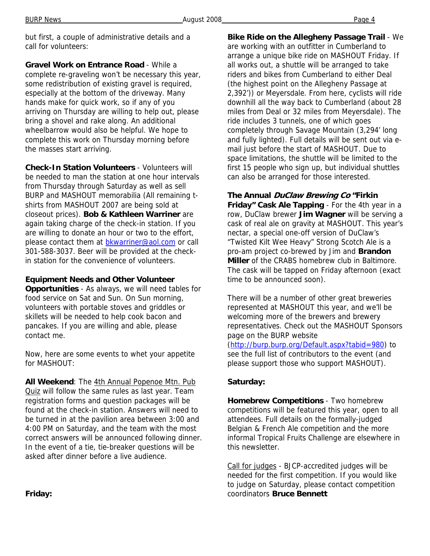but first, a couple of administrative details and a call for volunteers:

**Gravel Work on Entrance Road** - While a complete re-graveling won't be necessary this year, some redistribution of existing gravel is required, especially at the bottom of the driveway. Many hands make for quick work, so if any of you arriving on Thursday are willing to help out, please bring a shovel and rake along. An additional wheelbarrow would also be helpful. We hope to complete this work on Thursday morning before the masses start arriving.

**Check-In Station Volunteers** - Volunteers will be needed to man the station at one hour intervals from Thursday through Saturday as well as sell BURP and MASHOUT memorabilia (All remaining tshirts from MASHOUT 2007 are being sold at closeout prices). **Bob & Kathleen Warriner** are again taking charge of the check-in station. If you are willing to donate an hour or two to the effort, please contact them at bkwarriner@aol.com or call 301-588-3037. Beer will be provided at the checkin station for the convenience of volunteers.

### **Equipment Needs and Other Volunteer**

**Opportunities** - As always, we will need tables for food service on Sat and Sun. On Sun morning, volunteers with portable stoves and griddles or skillets will be needed to help cook bacon and pancakes. If you are willing and able, please contact me.

Now, here are some events to whet your appetite for MASHOUT:

**All Weekend**: The 4th Annual Popenoe Mtn. Pub Quiz will follow the same rules as last year. Team registration forms and question packages will be found at the check-in station. Answers will need to be turned in at the pavilion area between 3:00 and 4:00 PM on Saturday, and the team with the most correct answers will be announced following dinner. In the event of a tie, tie-breaker questions will be asked after dinner before a live audience.

**Bike Ride on the Allegheny Passage Trail** - We are working with an outfitter in Cumberland to arrange a unique bike ride on MASHOUT Friday. If all works out, a shuttle will be arranged to take riders and bikes from Cumberland to either Deal (the highest point on the Allegheny Passage at 2,392')) or Meyersdale. From here, cyclists will ride downhill all the way back to Cumberland (about 28 miles from Deal or 32 miles from Meyersdale). The ride includes 3 tunnels, one of which goes completely through Savage Mountain (3,294' long and fully lighted). Full details will be sent out via email just before the start of MASHOUT. Due to space limitations, the shuttle will be limited to the first 15 people who sign up, but individual shuttles

### **The Annual DuClaw Brewing Co "Firkin**

can also be arranged for those interested.

**Friday" Cask Ale Tapping** - For the 4th year in a row, DuClaw brewer **Jim Wagner** will be serving a cask of real ale on gravity at MASHOUT. This year's nectar, a special one-off version of DuClaw's "Twisted Kilt Wee Heavy" Strong Scotch Ale is a pro-am project co-brewed by Jim and **Brandon Miller** of the CRABS homebrew club in Baltimore. The cask will be tapped on Friday afternoon (exact time to be announced soon).

There will be a number of other great breweries represented at MASHOUT this year, and we'll be welcoming more of the brewers and brewery representatives. Check out the MASHOUT Sponsors page on the BURP website (http://burp.burp.org/Default.aspx?tabid=980) to

see the full list of contributors to the event (and please support those who support MASHOUT).

### **Saturday:**

**Homebrew Competitions** - Two homebrew competitions will be featured this year, open to all attendees. Full details on the formally-judged Belgian & French Ale competition and the more informal Tropical Fruits Challenge are elsewhere in this newsletter.

Call for judges - BJCP-accredited judges will be needed for the first competition. If you would like to judge on Saturday, please contact competition coordinators **Bruce Bennett** 

**Friday:**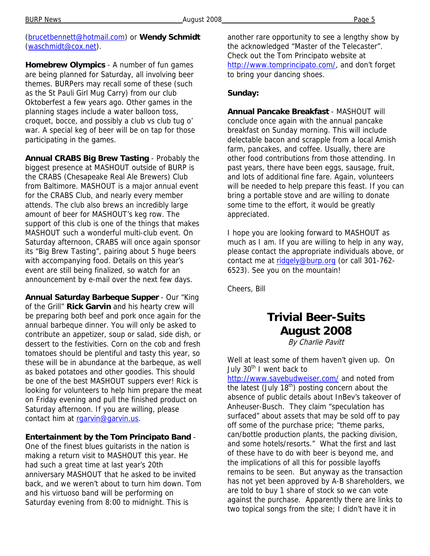(brucetbennett@hotmail.com) or **Wendy Schmidt** (waschmidt@cox.net).

**Homebrew Olympics** - A number of fun games are being planned for Saturday, all involving beer themes. BURPers may recall some of these (such as the St Pauli Girl Mug Carry) from our club Oktoberfest a few years ago. Other games in the planning stages include a water balloon toss, croquet, bocce, and possibly a club vs club tug o' war. A special keg of beer will be on tap for those participating in the games.

**Annual CRABS Big Brew Tasting** - Probably the biggest presence at MASHOUT outside of BURP is the CRABS (Chesapeake Real Ale Brewers) Club from Baltimore. MASHOUT is a major annual event for the CRABS Club, and nearly every member attends. The club also brews an incredibly large amount of beer for MASHOUT's keg row. The support of this club is one of the things that makes MASHOUT such a wonderful multi-club event. On Saturday afternoon, CRABS will once again sponsor its "Big Brew Tasting", pairing about 5 huge beers with accompanying food. Details on this year's event are still being finalized, so watch for an announcement by e-mail over the next few days.

**Annual Saturday Barbeque Supper** - Our "King of the Grill" **Rick Garvin** and his hearty crew will be preparing both beef and pork once again for the annual barbeque dinner. You will only be asked to contribute an appetizer, soup or salad, side dish, or dessert to the festivities. Corn on the cob and fresh tomatoes should be plentiful and tasty this year, so these will be in abundance at the barbeque, as well as baked potatoes and other goodies. This should be one of the best MASHOUT suppers ever! Rick is looking for volunteers to help him prepare the meat on Friday evening and pull the finished product on Saturday afternoon. If you are willing, please contact him at rgarvin@garvin.us.

#### **Entertainment by the Tom Principato Band** -

One of the finest blues guitarists in the nation is making a return visit to MASHOUT this year. He had such a great time at last year's 20th anniversary MASHOUT that he asked to be invited back, and we weren't about to turn him down. Tom and his virtuoso band will be performing on Saturday evening from 8:00 to midnight. This is

another rare opportunity to see a lengthy show by the acknowledged "Master of the Telecaster". Check out the Tom Principato website at http://www.tomprincipato.com/, and don't forget to bring your dancing shoes.

#### **Sunday:**

**Annual Pancake Breakfast** - MASHOUT will conclude once again with the annual pancake breakfast on Sunday morning. This will include delectable bacon and scrapple from a local Amish farm, pancakes, and coffee. Usually, there are other food contributions from those attending. In past years, there have been eggs, sausage, fruit, and lots of additional fine fare. Again, volunteers will be needed to help prepare this feast. If you can bring a portable stove and are willing to donate some time to the effort, it would be greatly appreciated.

I hope you are looking forward to MASHOUT as much as I am. If you are willing to help in any way, please contact the appropriate individuals above, or contact me at ridgely@burp.org (or call 301-762-6523). See you on the mountain!

Cheers, Bill

# **Trivial Beer-Suits August 2008**

By Charlie Pavitt

Well at least some of them haven't given up. On July 30<sup>th</sup> I went back to

http://www.savebudweiser.com/ and noted from the latest (July  $18^{th}$ ) posting concern about the absence of public details about InBev's takeover of Anheuser-Busch. They claim "speculation has surfaced" about assets that may be sold off to pay off some of the purchase price; "theme parks, can/bottle production plants, the packing division, and some hotels/resorts." What the first and last of these have to do with beer is beyond me, and the implications of all this for possible layoffs remains to be seen. But anyway as the transaction has not yet been approved by A-B shareholders, we are told to buy 1 share of stock so we can vote against the purchase. Apparently there are links to two topical songs from the site; I didn't have it in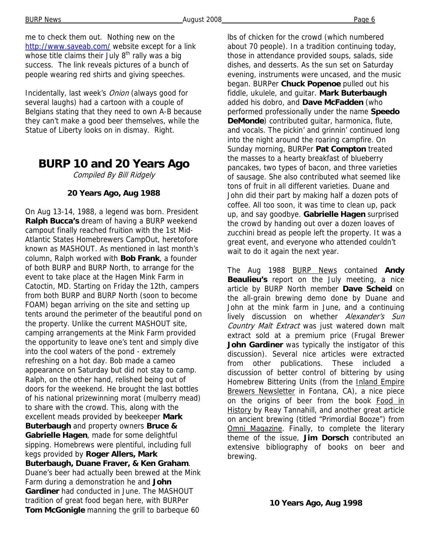me to check them out. Nothing new on the http://www.saveab.com/ website except for a link whose title claims their July  $8<sup>th</sup>$  rally was a big success. The link reveals pictures of a bunch of people wearing red shirts and giving speeches.

Incidentally, last week's Onion (always good for several laughs) had a cartoon with a couple of Belgians stating that they need to own A-B because they can't make a good beer themselves, while the Statue of Liberty looks on in dismay. Right.

# **BURP 10 and 20 Years Ago**

Compiled By Bill Ridgely

## **20 Years Ago, Aug 1988**

On Aug 13-14, 1988, a legend was born. President **Ralph Bucca's** dream of having a BURP weekend campout finally reached fruition with the 1st Mid-Atlantic States Homebrewers CampOut, heretofore known as MASHOUT. As mentioned in last month's column, Ralph worked with **Bob Frank**, a founder of both BURP and BURP North, to arrange for the event to take place at the Hagen Mink Farm in Catoctin, MD. Starting on Friday the 12th, campers from both BURP and BURP North (soon to become FOAM) began arriving on the site and setting up tents around the perimeter of the beautiful pond on the property. Unlike the current MASHOUT site, camping arrangements at the Mink Farm provided the opportunity to leave one's tent and simply dive into the cool waters of the pond - extremely refreshing on a hot day. Bob made a cameo appearance on Saturday but did not stay to camp. Ralph, on the other hand, relished being out of doors for the weekend. He brought the last bottles of his national prizewinning morat (mulberry mead) to share with the crowd. This, along with the excellent meads provided by beekeeper **Mark Buterbaugh** and property owners **Bruce & Gabrielle Hagen**, made for some delightful sipping. Homebrews were plentiful, including full kegs provided by **Roger Allers, Mark Buterbaugh, Duane Fraver, & Ken Graham**. Duane's beer had actually been brewed at the Mink Farm during a demonstration he and **John Gardiner** had conducted in June. The MASHOUT tradition of great food began here, with BURPer **Tom McGonigle** manning the grill to barbeque 60

lbs of chicken for the crowd (which numbered about 70 people). In a tradition continuing today, those in attendance provided soups, salads, side dishes, and desserts. As the sun set on Saturday evening, instruments were uncased, and the music began. BURPer **Chuck Popenoe** pulled out his fiddle, ukulele, and guitar. **Mark Buterbaugh**  added his dobro, and **Dave McFadden** (who performed professionally under the name **Speedo DeMonde**) contributed guitar, harmonica, flute, and vocals. The pickin' and grinnin' continued long into the night around the roaring campfire. On Sunday morning, BURPer **Pat Compton** treated the masses to a hearty breakfast of blueberry pancakes, two types of bacon, and three varieties of sausage. She also contributed what seemed like tons of fruit in all different varieties. Duane and John did their part by making half a dozen pots of coffee. All too soon, it was time to clean up, pack up, and say goodbye. **Gabrielle Hagen** surprised the crowd by handing out over a dozen loaves of zucchini bread as people left the property. It was a great event, and everyone who attended couldn't wait to do it again the next year.

The Aug 1988 BURP News contained **Andy Beaulieu's** report on the July meeting, a nice article by BURP North member **Dave Scheid** on the all-grain brewing demo done by Duane and John at the mink farm in June, and a continuing lively discussion on whether Alexander's Sun Country Malt Extract was just watered down malt extract sold at a premium price (Frugal Brewer **John Gardiner** was typically the instigator of this discussion). Several nice articles were extracted from other publications. These included a discussion of better control of bittering by using Homebrew Bittering Units (from the Inland Empire Brewers Newsletter in Fontana, CA), a nice piece on the origins of beer from the book Food in History by Reay Tannahill, and another great article on ancient brewing (titled "Primordial Booze") from Omni Magazine. Finally, to complete the literary theme of the issue, **Jim Dorsch** contributed an extensive bibliography of books on beer and brewing.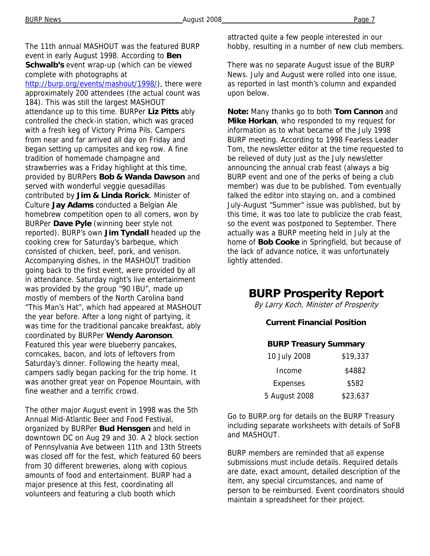The 11th annual MASHOUT was the featured BURP event in early August 1998. According to **Ben Schwalb's** event wrap-up (which can be viewed complete with photographs at http://burp.org/events/mashout/1998/), there were approximately 200 attendees (the actual count was 184). This was still the largest MASHOUT attendance up to this time. BURPer **Liz Pitts** ably controlled the check-in station, which was graced with a fresh keg of Victory Prima Pils. Campers from near and far arrived all day on Friday and began setting up campsites and keg row. A fine tradition of homemade champagne and strawberries was a Friday highlight at this time, provided by BURPers **Bob & Wanda Dawson** and served with wonderful veggie quesadillas contributed by **Jim & Linda Rorick**. Minister of Culture **Jay Adams** conducted a Belgian Ale homebrew competition open to all comers, won by BURPer **Dave Pyle** (winning beer style not reported). BURP's own **Jim Tyndall** headed up the cooking crew for Saturday's barbeque, which consisted of chicken, beef, pork, and venison. Accompanying dishes, in the MASHOUT tradition going back to the first event, were provided by all in attendance. Saturday night's live entertainment was provided by the group "90 IBU", made up mostly of members of the North Carolina band "This Man's Hat", which had appeared at MASHOUT the year before. After a long night of partying, it was time for the traditional pancake breakfast, ably coordinated by BURPer **Wendy Aaronson**. Featured this year were blueberry pancakes, corncakes, bacon, and lots of leftovers from Saturday's dinner. Following the hearty meal, campers sadly began packing for the trip home. It was another great year on Popenoe Mountain, with fine weather and a terrific crowd.

The other major August event in 1998 was the 5th Annual Mid-Atlantic Beer and Food Festival, organized by BURPer **Bud Hensgen** and held in downtown DC on Aug 29 and 30. A 2 block section of Pennsylvania Ave between 11th and 13th Streets was closed off for the fest, which featured 60 beers from 30 different breweries, along with copious amounts of food and entertainment. BURP had a major presence at this fest, coordinating all volunteers and featuring a club booth which

attracted quite a few people interested in our hobby, resulting in a number of new club members.

There was no separate August issue of the BURP News. July and August were rolled into one issue, as reported in last month's column and expanded upon below.

**Note:** Many thanks go to both **Tom Cannon** and **Mike Horkan**, who responded to my request for information as to what became of the July 1998 BURP meeting. According to 1998 Fearless Leader Tom, the newsletter editor at the time requested to be relieved of duty just as the July newsletter announcing the annual crab feast (always a big BURP event and one of the perks of being a club member) was due to be published. Tom eventually talked the editor into staying on, and a combined July-August "Summer" issue was published, but by this time, it was too late to publicize the crab feast, so the event was postponed to September. There actually was a BURP meeting held in July at the home of **Bob Cooke** in Springfield, but because of the lack of advance notice, it was unfortunately lightly attended.

# **BURP Prosperity Report**

By Larry Koch, Minister of Prosperity

#### **Current Financial Position**

#### **BURP Treasury Summary**

| 10 July 2008    | \$19,337 |
|-----------------|----------|
| Income          | \$4882   |
| <b>Expenses</b> | \$582    |
| 5 August 2008   | \$23,637 |

Go to BURP.org for details on the BURP Treasury including separate worksheets with details of SoFB and MASHOUT.

BURP members are reminded that all expense submissions must include details. Required details are date, exact amount, detailed description of the item, any special circumstances, and name of person to be reimbursed. Event coordinators should maintain a spreadsheet for their project.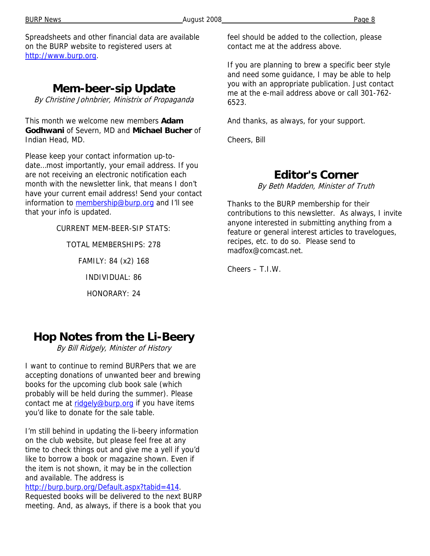Spreadsheets and other financial data are available on the BURP website to registered users at http://www.burp.org.

# **Mem-beer-sip Update**

By Christine Johnbrier, Ministrix of Propaganda

This month we welcome new members **Adam Godhwani** of Severn, MD and **Michael Bucher** of Indian Head, MD.

Please keep your contact information up-todate…most importantly, your email address. If you are not receiving an electronic notification each month with the newsletter link, that means I don't have your current email address! Send your contact information to membership@burp.org and I'll see that your info is updated.

CURRENT MEM-BEER-SIP STATS:

TOTAL MEMBERSHIPS: 278

FAMILY: 84 (x2) 168

INDIVIDUAL: 86

HONORARY: 24

feel should be added to the collection, please contact me at the address above.

If you are planning to brew a specific beer style and need some guidance, I may be able to help you with an appropriate publication. Just contact me at the e-mail address above or call 301-762- 6523.

And thanks, as always, for your support.

Cheers, Bill

# **Editor's Corner**

By Beth Madden, Minister of Truth

Thanks to the BURP membership for their contributions to this newsletter. As always, I invite anyone interested in submitting anything from a feature or general interest articles to travelogues, recipes, etc. to do so. Please send to madfox@comcast.net.

Cheers – T.I.W.

# **Hop Notes from the Li-Beery**

By Bill Ridgely, Minister of History

I want to continue to remind BURPers that we are accepting donations of unwanted beer and brewing books for the upcoming club book sale (which probably will be held during the summer). Please contact me at ridgely@burp.org if you have items you'd like to donate for the sale table.

I'm still behind in updating the li-beery information on the club website, but please feel free at any time to check things out and give me a yell if you'd like to borrow a book or magazine shown. Even if the item is not shown, it may be in the collection and available. The address is

### http://burp.burp.org/Default.aspx?tabid=414.

Requested books will be delivered to the next BURP meeting. And, as always, if there is a book that you